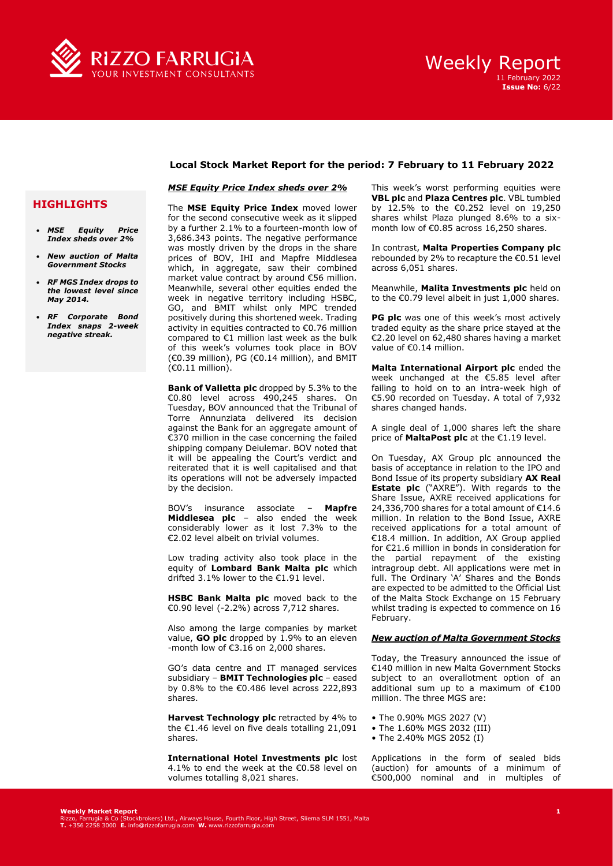

## **Local Stock Market Report for the period: 7 February to 11 February 2022**

## *MSE Equity Price Index sheds over 2%*

## **HIGHLIGHTS**

- *MSE Equity Price Index sheds over 2%*
- *New auction of Malta Government Stocks*
- *RF MGS Index drops to the lowest level since May 2014.*
- *RF Corporate Bond Index snaps 2-week negative streak.*

The **MSE Equity Price Index** moved lower for the second consecutive week as it slipped by a further 2.1% to a fourteen-month low of 3,686.343 points. The negative performance was mostly driven by the drops in the share prices of BOV, IHI and Mapfre Middlesea which, in aggregate, saw their combined market value contract by around €56 million. Meanwhile, several other equities ended the week in negative territory including HSBC, GO, and BMIT whilst only MPC trended positively during this shortened week. Trading activity in equities contracted to €0.76 million compared to €1 million last week as the bulk of this week's volumes took place in BOV  $(60.39 \text{ million})$ , PG  $(60.14 \text{ million})$ , and BMIT (€0.11 million).

**Bank of Valletta plc** dropped by 5.3% to the €0.80 level across 490,245 shares. On Tuesday, BOV announced that the Tribunal of Torre Annunziata delivered its decision against the Bank for an aggregate amount of €370 million in the case concerning the failed shipping company Deiulemar. BOV noted that it will be appealing the Court's verdict and reiterated that it is well capitalised and that its operations will not be adversely impacted by the decision.

BOV's insurance associate – **Mapfre Middlesea plc** – also ended the week considerably lower as it lost 7.3% to the €2.02 level albeit on trivial volumes.

Low trading activity also took place in the equity of **Lombard Bank Malta plc** which drifted 3.1% lower to the €1.91 level.

**HSBC Bank Malta plc** moved back to the €0.90 level (-2.2%) across 7,712 shares.

Also among the large companies by market value, **GO plc** dropped by 1.9% to an eleven -month low of  $\epsilon$ 3.16 on 2.000 shares.

GO's data centre and IT managed services subsidiary – **BMIT Technologies plc** – eased by 0.8% to the €0.486 level across 222,893 shares.

**Harvest Technology plc** retracted by 4% to the €1.46 level on five deals totalling 21,091 shares.

**International Hotel Investments plc** lost 4.1% to end the week at the €0.58 level on volumes totalling 8,021 shares.

This week's worst performing equities were **VBL plc** and **Plaza Centres plc**. VBL tumbled by 12.5% to the €0.252 level on 19,250 shares whilst Plaza plunged 8.6% to a sixmonth low of €0.85 across 16,250 shares.

In contrast, **Malta Properties Company plc**  rebounded by 2% to recapture the €0.51 level across 6,051 shares.

Meanwhile, **Malita Investments plc** held on to the €0.79 level albeit in just 1,000 shares.

**PG plc** was one of this week's most actively traded equity as the share price stayed at the €2.20 level on 62,480 shares having a market value of €0.14 million.

**Malta International Airport plc** ended the week unchanged at the €5.85 level after failing to hold on to an intra-week high of €5.90 recorded on Tuesday. A total of 7,932 shares changed hands.

A single deal of 1,000 shares left the share price of **MaltaPost plc** at the €1.19 level.

On Tuesday, AX Group plc announced the basis of acceptance in relation to the IPO and Bond Issue of its property subsidiary **AX Real Estate plc** ("AXRE"). With regards to the Share Issue, AXRE received applications for 24,336,700 shares for a total amount of €14.6 million. In relation to the Bond Issue, AXRE received applications for a total amount of €18.4 million. In addition, AX Group applied for €21.6 million in bonds in consideration for the partial repayment of the existing intragroup debt. All applications were met in full. The Ordinary 'A' Shares and the Bonds are expected to be admitted to the Official List of the Malta Stock Exchange on 15 February whilst trading is expected to commence on 16 February.

### *New auction of Malta Government Stocks*

Today, the Treasury announced the issue of €140 million in new Malta Government Stocks subject to an overallotment option of an additional sum up to a maximum of €100 million. The three MGS are:

- The 0.90% MGS 2027 (V)
- The 1.60% MGS 2032 (III)
- The 2.40% MGS 2052 (I)

Applications in the form of sealed bids (auction) for amounts of a minimum of €500,000 nominal and in multiples of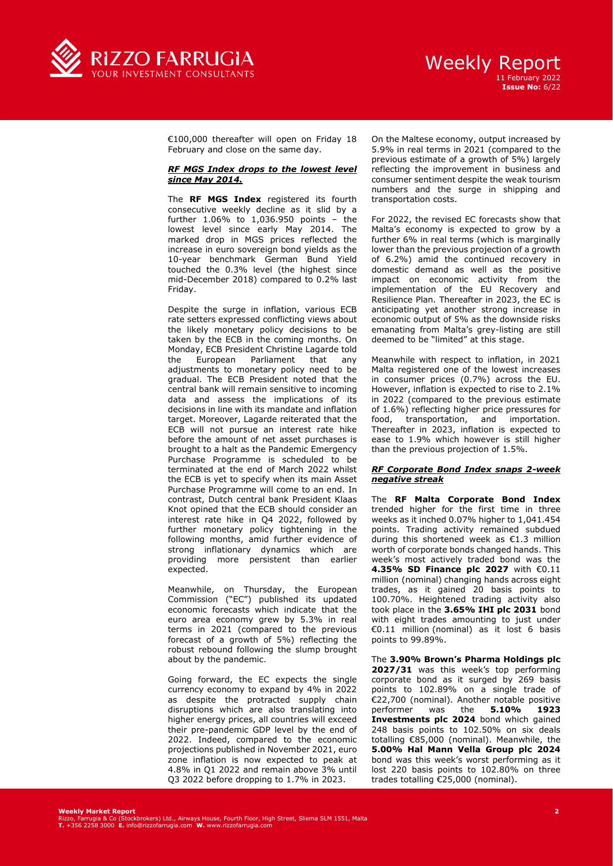

€100,000 thereafter will open on Friday 18 February and close on the same day.

### *RF MGS Index drops to the lowest level since May 2014.*

The **RF MGS Index** registered its fourth consecutive weekly decline as it slid by a further 1.06% to 1,036.950 points – the lowest level since early May 2014. The marked drop in MGS prices reflected the increase in euro sovereign bond yields as the 10-year benchmark German Bund Yield touched the 0.3% level (the highest since mid-December 2018) compared to 0.2% last Friday.

Despite the surge in inflation, various ECB rate setters expressed conflicting views about the likely monetary policy decisions to be taken by the ECB in the coming months. On Monday, ECB President Christine Lagarde told the European Parliament that any adjustments to monetary policy need to be gradual. The ECB President noted that the central bank will remain sensitive to incoming data and assess the implications of its decisions in line with its mandate and inflation target. Moreover, Lagarde reiterated that the ECB will not pursue an interest rate hike before the amount of net asset purchases is brought to a halt as the Pandemic Emergency Purchase Programme is scheduled to be terminated at the end of March 2022 whilst the ECB is yet to specify when its main Asset Purchase Programme will come to an end. In contrast, Dutch central bank President Klaas Knot opined that the ECB should consider an interest rate hike in Q4 2022, followed by further monetary policy tightening in the following months, amid further evidence of strong inflationary dynamics which are providing more persistent than earlier expected.

Meanwhile, on Thursday, the European Commission ("EC") published its updated economic forecasts which indicate that the euro area economy grew by 5.3% in real terms in 2021 (compared to the previous forecast of a growth of 5%) reflecting the robust rebound following the slump brought about by the pandemic.

Going forward, the EC expects the single currency economy to expand by 4% in 2022 as despite the protracted supply chain disruptions which are also translating into higher energy prices, all countries will exceed their pre-pandemic GDP level by the end of 2022. Indeed, compared to the economic projections published in November 2021, euro zone inflation is now expected to peak at 4.8% in Q1 2022 and remain above 3% until Q3 2022 before dropping to 1.7% in 2023.

On the Maltese economy, output increased by 5.9% in real terms in 2021 (compared to the previous estimate of a growth of 5%) largely reflecting the improvement in business and consumer sentiment despite the weak tourism numbers and the surge in shipping and transportation costs.

For 2022, the revised EC forecasts show that Malta's economy is expected to grow by a further 6% in real terms (which is marginally lower than the previous projection of a growth of 6.2%) amid the continued recovery in domestic demand as well as the positive impact on economic activity from the implementation of the EU Recovery and Resilience Plan. Thereafter in 2023, the EC is anticipating yet another strong increase in economic output of 5% as the downside risks emanating from Malta's grey-listing are still deemed to be "limited" at this stage.

Meanwhile with respect to inflation, in 2021 Malta registered one of the lowest increases in consumer prices (0.7%) across the EU. However, inflation is expected to rise to 2.1% in 2022 (compared to the previous estimate of 1.6%) reflecting higher price pressures for food, transportation, and importation. Thereafter in 2023, inflation is expected to ease to 1.9% which however is still higher than the previous projection of 1.5%.

### *RF Corporate Bond Index snaps 2-week negative streak*

The **RF Malta Corporate Bond Index** trended higher for the first time in three weeks as it inched 0.07% higher to 1,041.454 points. Trading activity remained subdued during this shortened week as €1.3 million worth of corporate bonds changed hands. This week's most actively traded bond was the **4.35% SD Finance plc 2027** with €0.11 million (nominal) changing hands across eight trades, as it gained 20 basis points to 100.70%. Heightened trading activity also took place in the **3.65% IHI plc 2031** bond with eight trades amounting to just under €0.11 million (nominal) as it lost 6 basis points to 99.89%.

The **3.90% Brown's Pharma Holdings plc 2027/31** was this week's top performing corporate bond as it surged by 269 basis points to 102.89% on a single trade of €22,700 (nominal). Another notable positive performer was the **5.10% 1923 Investments plc 2024** bond which gained 248 basis points to 102.50% on six deals totalling €85,000 (nominal). Meanwhile, the **5.00% Hal Mann Vella Group plc 2024** bond was this week's worst performing as it lost 220 basis points to 102.80% on three trades totalling €25,000 (nominal).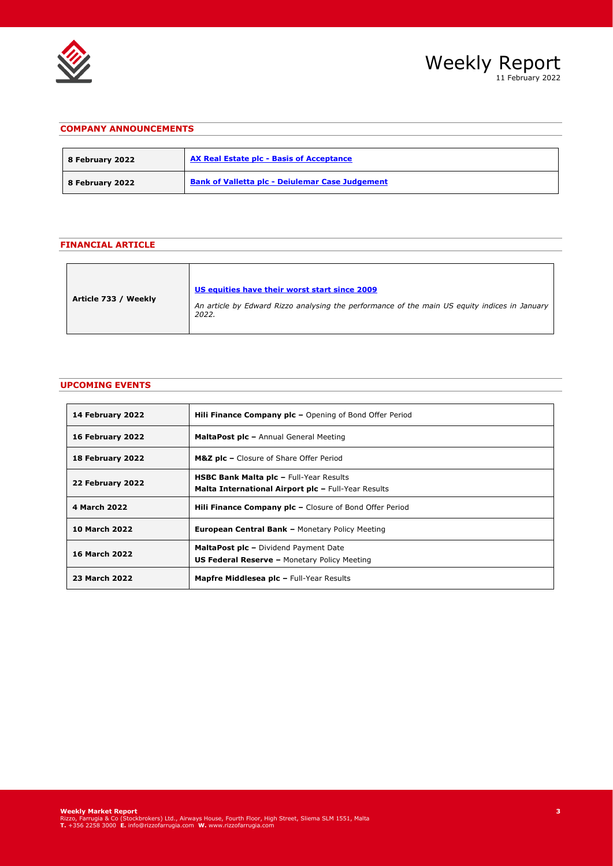



# **COMPANY ANNOUNCEMENTS**

| 8 February 2022 | AX Real Estate plc - Basis of Acceptance               |
|-----------------|--------------------------------------------------------|
| 8 February 2022 | <b>Bank of Valletta plc - Deiulemar Case Judgement</b> |

# **FINANCIAL ARTICLE**

| US equities have their worst start since 2009<br>Article 733 / Weekly<br>An article by Edward Rizzo analysing the performance of the main US equity indices in January<br>2022. |
|---------------------------------------------------------------------------------------------------------------------------------------------------------------------------------|
|---------------------------------------------------------------------------------------------------------------------------------------------------------------------------------|

# **UPCOMING EVENTS**

| 14 February 2022     | <b>Hili Finance Company plc</b> $-$ Opening of Bond Offer Period                                      |  |  |  |  |
|----------------------|-------------------------------------------------------------------------------------------------------|--|--|--|--|
| 16 February 2022     | <b>MaltaPost plc - Annual General Meeting</b>                                                         |  |  |  |  |
| 18 February 2022     | M&Z plc - Closure of Share Offer Period                                                               |  |  |  |  |
| 22 February 2022     | <b>HSBC Bank Malta plc - Full-Year Results</b><br>Malta International Airport plc - Full-Year Results |  |  |  |  |
| 4 March 2022         | <b>Hili Finance Company plc - Closure of Bond Offer Period</b>                                        |  |  |  |  |
| <b>10 March 2022</b> | <b>European Central Bank - Monetary Policy Meeting</b>                                                |  |  |  |  |
| <b>16 March 2022</b> | <b>MaltaPost plc - Dividend Payment Date</b><br><b>US Federal Reserve - Monetary Policy Meeting</b>   |  |  |  |  |
| 23 March 2022        | <b>Mapfre Middlesea plc - Full-Year Results</b>                                                       |  |  |  |  |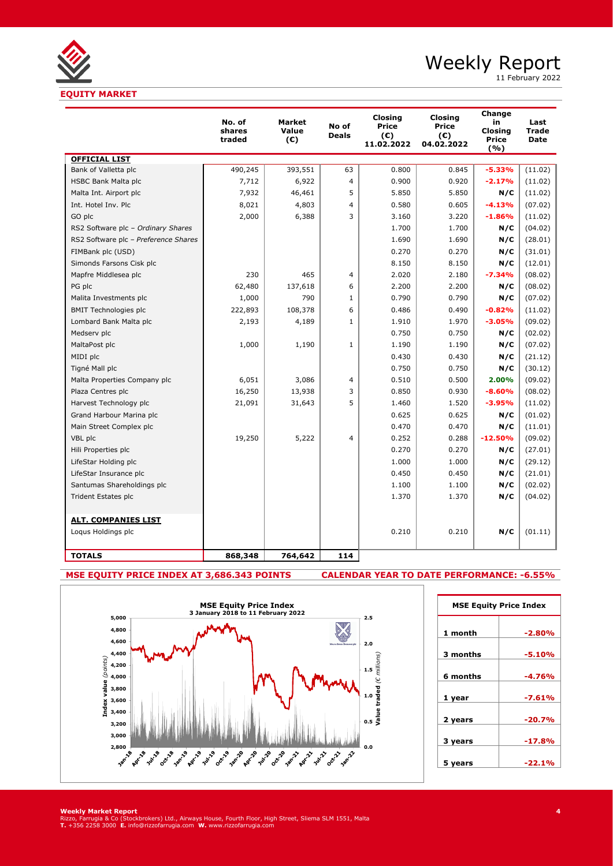

11 February 2022

|                                      | No. of<br>shares<br>traded | <b>Market</b><br>Value<br>(€) | No of<br><b>Deals</b> | <b>Closing</b><br>Price<br>(C)<br>11.02.2022 | Closing<br>Price<br>$(\epsilon)$<br>04.02.2022 | Change<br>in<br><b>Closing</b><br><b>Price</b><br>(%) | Last<br>Trade<br><b>Date</b> |
|--------------------------------------|----------------------------|-------------------------------|-----------------------|----------------------------------------------|------------------------------------------------|-------------------------------------------------------|------------------------------|
| <b>OFFICIAL LIST</b>                 |                            |                               |                       |                                              |                                                |                                                       |                              |
| Bank of Valletta plc                 | 490,245                    | 393,551                       | 63                    | 0.800                                        | 0.845                                          | $-5.33%$                                              | (11.02)                      |
| HSBC Bank Malta plc                  | 7,712                      | 6,922                         | $\overline{4}$        | 0.900                                        | 0.920                                          | $-2.17%$                                              | (11.02)                      |
| Malta Int. Airport plc               | 7,932                      | 46,461                        | 5                     | 5.850                                        | 5.850                                          | N/C                                                   | (11.02)                      |
| Int. Hotel Inv. Plc                  | 8,021                      | 4,803                         | $\overline{4}$        | 0.580                                        | 0.605                                          | $-4.13%$                                              | (07.02)                      |
| GO plc                               | 2,000                      | 6,388                         | 3                     | 3.160                                        | 3.220                                          | $-1.86%$                                              | (11.02)                      |
| RS2 Software plc - Ordinary Shares   |                            |                               |                       | 1.700                                        | 1.700                                          | N/C                                                   | (04.02)                      |
| RS2 Software plc - Preference Shares |                            |                               |                       | 1.690                                        | 1.690                                          | N/C                                                   | (28.01)                      |
| FIMBank plc (USD)                    |                            |                               |                       | 0.270                                        | 0.270                                          | N/C                                                   | (31.01)                      |
| Simonds Farsons Cisk plc             |                            |                               |                       | 8.150                                        | 8.150                                          | N/C                                                   | (12.01)                      |
| Mapfre Middlesea plc                 | 230                        | 465                           | 4                     | 2.020                                        | 2.180                                          | $-7.34%$                                              | (08.02)                      |
| PG plc                               | 62,480                     | 137,618                       | 6                     | 2.200                                        | 2.200                                          | N/C                                                   | (08.02)                      |
| Malita Investments plc               | 1,000                      | 790                           | $\mathbf{1}$          | 0.790                                        | 0.790                                          | N/C                                                   | (07.02)                      |
| <b>BMIT Technologies plc</b>         | 222,893                    | 108,378                       | 6                     | 0.486                                        | 0.490                                          | $-0.82%$                                              | (11.02)                      |
| Lombard Bank Malta plc               | 2,193                      | 4,189                         | $\mathbf{1}$          | 1.910                                        | 1.970                                          | $-3.05%$                                              | (09.02)                      |
| Medserv plc                          |                            |                               |                       | 0.750                                        | 0.750                                          | N/C                                                   | (02.02)                      |
| MaltaPost plc                        | 1,000                      | 1,190                         | $\mathbf{1}$          | 1.190                                        | 1.190                                          | N/C                                                   | (07.02)                      |
| MIDI plc                             |                            |                               |                       | 0.430                                        | 0.430                                          | N/C                                                   | (21.12)                      |
| Tigné Mall plc                       |                            |                               |                       | 0.750                                        | 0.750                                          | N/C                                                   | (30.12)                      |
| Malta Properties Company plc         | 6,051                      | 3,086                         | 4                     | 0.510                                        | 0.500                                          | 2.00%                                                 | (09.02)                      |
| Plaza Centres plc                    | 16,250                     | 13,938                        | 3                     | 0.850                                        | 0.930                                          | $-8.60%$                                              | (08.02)                      |
| Harvest Technology plc               | 21,091                     | 31,643                        | 5                     | 1.460                                        | 1.520                                          | $-3.95%$                                              | (11.02)                      |
| Grand Harbour Marina plc             |                            |                               |                       | 0.625                                        | 0.625                                          | N/C                                                   | (01.02)                      |
| Main Street Complex plc              |                            |                               |                       | 0.470                                        | 0.470                                          | N/C                                                   | (11.01)                      |
| VBL plc                              | 19,250                     | 5,222                         | $\overline{4}$        | 0.252                                        | 0.288                                          | $-12.50%$                                             | (09.02)                      |
| Hili Properties plc                  |                            |                               |                       | 0.270                                        | 0.270                                          | N/C                                                   | (27.01)                      |
| LifeStar Holding plc                 |                            |                               |                       | 1.000                                        | 1.000                                          | N/C                                                   | (29.12)                      |
| LifeStar Insurance plc               |                            |                               |                       | 0.450                                        | 0.450                                          | N/C                                                   | (21.01)                      |
| Santumas Shareholdings plc           |                            |                               |                       | 1.100                                        | 1.100                                          | N/C                                                   | (02.02)                      |
| <b>Trident Estates plc</b>           |                            |                               |                       | 1.370                                        | 1.370                                          | N/C                                                   | (04.02)                      |
| <b>ALT. COMPANIES LIST</b>           |                            |                               |                       |                                              |                                                |                                                       |                              |
| Loqus Holdings plc                   |                            |                               |                       | 0.210                                        | 0.210                                          | N/C                                                   | (01.11)                      |
| <b>TOTALS</b>                        | 868,348                    | 764,642                       | 114                   |                                              |                                                |                                                       |                              |

# **MSE EQUITY PRICE INDEX AT 3,686.343 POINTS CALENDAR YEAR TO DATE PERFORMANCE: -6.55%**

| 5,000<br>4,800                    |                                                                                  |                                    | 2.5                                            |
|-----------------------------------|----------------------------------------------------------------------------------|------------------------------------|------------------------------------------------|
| 4,600                             |                                                                                  |                                    | 2.0<br>MALTA STOCK ENCHANGE ple                |
| 4,400                             |                                                                                  |                                    |                                                |
| 4,200                             |                                                                                  |                                    | $1.5$                                          |
| 4,000                             |                                                                                  |                                    |                                                |
| 3,800                             |                                                                                  |                                    |                                                |
| Index value (points)<br>3,600     |                                                                                  |                                    | 1.0                                            |
| 3,400                             |                                                                                  |                                    | $0.5\frac{9}{5}$                               |
| 3,200                             |                                                                                  |                                    |                                                |
| 3,000                             |                                                                                  |                                    |                                                |
| 2,800<br>Apr. 18<br><b>Jan-18</b> | Jan-20<br>Octrls<br><b>AUXITE</b><br><b>Aux-20</b><br>Octrla<br>Jan.19<br>API-19 | Oct-20<br>Apr. 20<br><b>Aux-20</b> | 0.0<br><b>Island</b><br>octriz<br><b>White</b> |

| <b>MSE Equity Price Index</b> |           |  |  |  |  |
|-------------------------------|-----------|--|--|--|--|
| 1 month                       | $-2.80\%$ |  |  |  |  |
| 3 months                      | $-5.10%$  |  |  |  |  |
| 6 months                      | $-4.76%$  |  |  |  |  |
| 1 year                        | -7.61%    |  |  |  |  |
|                               |           |  |  |  |  |
| 2 years                       | -20.7%    |  |  |  |  |
| 3 years                       | $-17.8%$  |  |  |  |  |
| 5 years                       | $-22.1%$  |  |  |  |  |

**Weekly Market Report**<br>Rizzo, Farrugia & Co (Stockbrokers) Ltd., Airways House, Fourth Floor, High Street, Sliema SLM 1551, Malta<br>T. +356 2258 3000 E. info@rizzofarrugia.com **W.** www.rizzofarrugia.com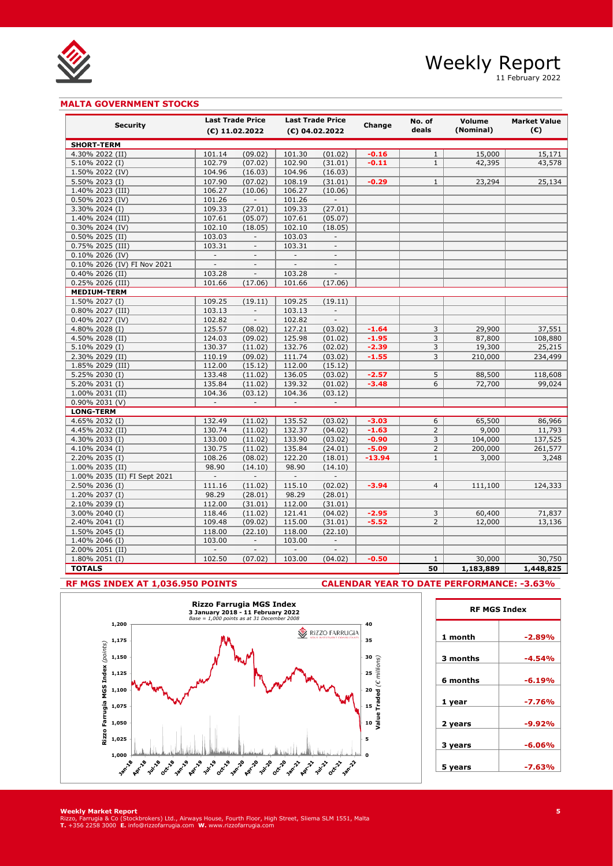

11 February 2022

## **MALTA GOVERNMENT STOCKS**

|                                  | <b>Last Trade Price</b><br><b>Last Trade Price</b> |                          |                          |                          | No. of              | Volume              | <b>Market Value</b> |                  |
|----------------------------------|----------------------------------------------------|--------------------------|--------------------------|--------------------------|---------------------|---------------------|---------------------|------------------|
| <b>Security</b>                  |                                                    | $(E)$ 11.02.2022         |                          | $(E)$ 04.02.2022         | Change              | deals               | (Nominal)           | $(\mathbf{C})$   |
| <b>SHORT-TERM</b>                |                                                    |                          |                          |                          |                     |                     |                     |                  |
| 4.30% 2022 (II)                  | 101.14                                             | (09.02)                  | 101.30                   | (01.02)                  | $-0.16$             | $\mathbf{1}$        | 15,000              | 15,171           |
| 5.10% 2022 (I)                   | 102.79                                             | (07.02)                  | 102.90                   | (31.01)                  | $-0.11$             | $\mathbf{1}$        | 42,395              | 43,578           |
| 1.50% 2022 (IV)                  | 104.96                                             | (16.03)                  | 104.96                   | (16.03)                  |                     |                     |                     |                  |
| 5.50% 2023 (I)                   | 107.90                                             | (07.02)                  | 108.19                   | (31.01)                  | $-0.29$             | $\mathbf{1}$        | 23,294              | 25,134           |
| 1.40% 2023 (III)                 | 106.27                                             | (10.06)                  | 106.27                   | (10.06)                  |                     |                     |                     |                  |
| 0.50% 2023 (IV)                  | 101.26                                             |                          | 101.26                   | $\mathcal{L}$            |                     |                     |                     |                  |
| 3.30% 2024 (I)                   | 109.33                                             | (27.01)                  | 109.33                   | (27.01)                  |                     |                     |                     |                  |
| 1.40% 2024 (III)                 | 107.61                                             | (05.07)                  | 107.61                   | (05.07)                  |                     |                     |                     |                  |
| 0.30% 2024 (IV)                  | 102.10                                             | (18.05)                  | 102.10                   | (18.05)                  |                     |                     |                     |                  |
| $0.50\%$ 2025 (II)               | 103.03                                             |                          | 103.03                   | $\mathcal{L}$            |                     |                     |                     |                  |
| 0.75% 2025 (III)                 | 103.31                                             | $\Box$                   | 103.31                   | $\overline{\phantom{a}}$ |                     |                     |                     |                  |
| 0.10% 2026 (IV)                  |                                                    |                          |                          |                          |                     |                     |                     |                  |
| 0.10% 2026 (IV) FI Nov 2021      | $\overline{\phantom{0}}$                           | $\overline{\phantom{m}}$ | $\overline{\phantom{a}}$ | $\frac{1}{2}$            |                     |                     |                     |                  |
| 0.40% 2026 (II)                  | 103.28                                             | $\overline{\phantom{a}}$ | 103.28                   | $\overline{\phantom{a}}$ |                     |                     |                     |                  |
| 0.25% 2026 (III)                 | 101.66                                             | (17.06)                  | 101.66                   | (17.06)                  |                     |                     |                     |                  |
| <b>MEDIUM-TERM</b>               |                                                    |                          |                          |                          |                     |                     |                     |                  |
| 1.50% 2027 (I)                   | 109.25                                             | (19.11)                  | 109.25                   | (19.11)                  |                     |                     |                     |                  |
| 0.80% 2027 (III)                 | 103.13                                             | $\overline{\phantom{a}}$ | 103.13                   | $\blacksquare$           |                     |                     |                     |                  |
| 0.40% 2027 (IV)                  | 102.82                                             | $\overline{\phantom{a}}$ | 102.82                   | $\mathcal{L}$            |                     |                     |                     |                  |
| 4.80% 2028 (I)                   | 125.57                                             | (08.02)                  | 127.21                   | (03.02)                  | $-1.64$             | 3                   | 29,900              | 37,551           |
| 4.50% 2028 (II)                  | 124.03                                             | (09.02)                  | 125.98                   | (01.02)                  | $-1.95$             | 3                   | 87,800              | 108,880          |
| 5.10% 2029 (I)                   | 130.37                                             | (11.02)                  | 132.76                   | (02.02)                  | $-2.39$             | 3                   | 19,300              | 25,215           |
| 2.30% 2029 (II)                  | 110.19                                             | (09.02)                  | 111.74                   | (03.02)                  | $-1.55$             | 3                   | 210,000             | 234,499          |
| 1.85% 2029 (III)                 | 112.00                                             | (15.12)                  | 112.00                   | (15.12)                  |                     |                     |                     |                  |
| 5.25% 2030 (I)                   | 133.48                                             | (11.02)                  | 136.05                   | (03.02)                  | $-2.57$             | 5                   | 88,500              | 118,608          |
| 5.20% 2031 (I)                   | 135.84                                             | (11.02)                  | 139.32                   | (01.02)                  | $-3.48$             | 6                   | 72,700              | 99,024           |
| 1.00% 2031 (II)                  | 104.36                                             | (03.12)                  | 104.36                   | (03.12)                  |                     |                     |                     |                  |
| 0.90% 2031 (V)                   | $\mathcal{L}^{\pm}$                                | $\mathcal{L}$            | $\overline{\phantom{a}}$ | $\mathbb{L}$             |                     |                     |                     |                  |
| <b>LONG-TERM</b>                 |                                                    |                          |                          |                          |                     |                     |                     |                  |
| 4.65% 2032 (I)                   | 132.49                                             | (11.02)                  | 135.52                   | (03.02)                  | $-3.03$             | 6                   | 65,500              | 86,966           |
| 4.45% 2032 (II)                  | 130.74                                             | (11.02)                  | 132.37                   | (04.02)                  | $-1.63$             | $\overline{2}$      | 9,000               | 11,793           |
| 4.30% 2033 (I)                   | 133.00<br>130.75                                   | (11.02)                  | 133.90                   | (03.02)                  | $-0.90$             | 3<br>$\overline{2}$ | 104,000             | 137,525          |
| 4.10% 2034 (I)<br>2.20% 2035 (I) | 108.26                                             | (11.02)                  | 135.84<br>122.20         | (24.01)<br>(18.01)       | $-5.09$<br>$-13.94$ | $\mathbf{1}$        | 200,000<br>3,000    | 261,577<br>3,248 |
| 1.00% 2035 (II)                  | 98.90                                              | (08.02)<br>(14.10)       | 98.90                    | (14.10)                  |                     |                     |                     |                  |
| 1.00% 2035 (II) FI Sept 2021     | $\mathcal{L}_{\mathcal{A}}$                        | $\mathbb{L}^2$           | $\mathcal{L}^{\pm}$      | $\mathbb{L}^2$           |                     |                     |                     |                  |
| 2.50% 2036 (I)                   | 111.16                                             | (11.02)                  | 115.10                   | (02.02)                  | $-3.94$             | $\overline{4}$      | 111,100             | 124,333          |
| 1.20% 2037 (I)                   | 98.29                                              | (28.01)                  | 98.29                    | (28.01)                  |                     |                     |                     |                  |
| 2.10% 2039 (I)                   | 112.00                                             | (31.01)                  | 112.00                   | (31.01)                  |                     |                     |                     |                  |
| 3.00% 2040 (I)                   | 118.46                                             | (11.02)                  | 121.41                   | (04.02)                  | $-2.95$             | 3                   | 60,400              | 71,837           |
| 2.40% 2041 (I)                   | 109.48                                             | (09.02)                  | 115.00                   | (31.01)                  | $-5.52$             | $\overline{2}$      | 12,000              | 13,136           |
| 1.50% 2045 (I)                   | 118.00                                             | (22.10)                  | 118.00                   | (22.10)                  |                     |                     |                     |                  |
| 1.40% 2046 (I)                   | 103.00                                             | $\overline{\phantom{a}}$ | 103.00                   | $\overline{a}$           |                     |                     |                     |                  |
| 2.00% 2051 (II)                  | $\overline{\phantom{a}}$                           | $\overline{\phantom{m}}$ | $\overline{\phantom{a}}$ | $\frac{1}{2}$            |                     |                     |                     |                  |
| 1.80% 2051 (I)                   | 102.50                                             | (07.02)                  | 103.00                   | (04.02)                  | $-0.50$             | $\mathbf{1}$        | 30,000              | 30,750           |
| <b>TOTALS</b>                    |                                                    |                          |                          |                          |                     | 50                  | 1,183,889           | 1,448,825        |
|                                  |                                                    |                          |                          |                          |                     |                     |                     |                  |

# **RF MGS INDEX AT 1,036.950 POINTS CALENDAR YEAR TO DATE PERFORMANCE: -3.63%**

| 1,175 | <b>NSULTANTS</b> |
|-------|------------------|
| 1,150 |                  |
| 1,125 |                  |
| 1,100 |                  |
| 1,075 |                  |
| 1,050 |                  |
| 1,025 |                  |
|       |                  |



**Weekly Market Report**<br>Rizzo, Farrugia & Co (Stockbrokers) Ltd., Airways House, Fourth Floor, High Street, Sliema SLM 1551, Malta<br>T. +356 2258 3000 E. info@rizzofarrugia.com **W.** www.rizzofarrugia.com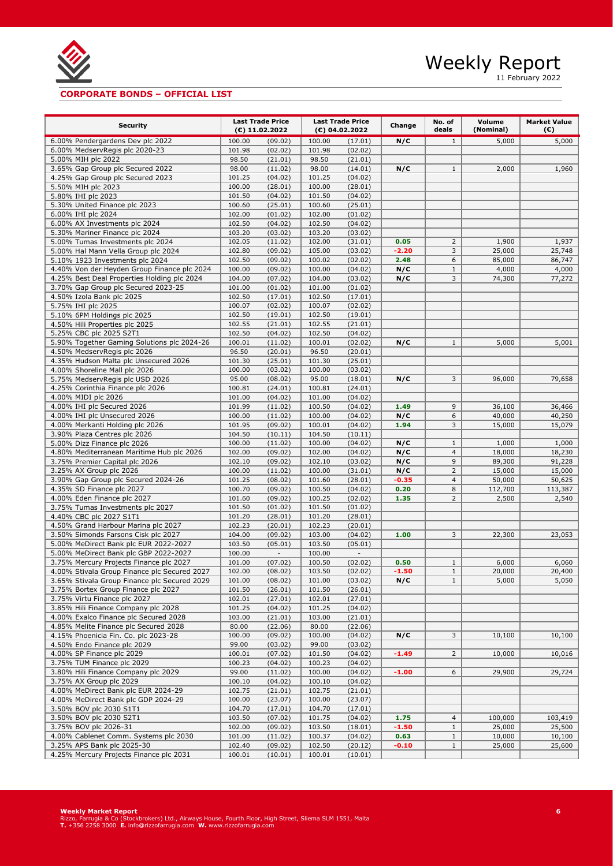

11 February 2022

# **CORPORATE BONDS – OFFICIAL LIST**

| <b>Security</b>                                                                  | <b>Last Trade Price</b><br>$(E)$ 11.02.2022 |                    | <b>Last Trade Price</b><br>(€) 04.02.2022 |                    | Change          | No. of<br>deals | Volume<br>(Nominal) | <b>Market Value</b><br>(€) |
|----------------------------------------------------------------------------------|---------------------------------------------|--------------------|-------------------------------------------|--------------------|-----------------|-----------------|---------------------|----------------------------|
| 6.00% Pendergardens Dev plc 2022                                                 | 100.00                                      | (09.02)            | 100.00                                    | (17.01)            | N/C             | $\mathbf{1}$    | 5,000               | 5,000                      |
| 6.00% MedservRegis plc 2020-23                                                   | 101.98                                      | (02.02)            | 101.98                                    | (02.02)            |                 |                 |                     |                            |
| 5.00% MIH plc 2022                                                               | 98.50                                       | (21.01)            | 98.50                                     | (21.01)            |                 |                 |                     |                            |
| 3.65% Gap Group plc Secured 2022                                                 | 98.00                                       | (11.02)            | 98.00                                     | (14.01)            | N/C             | $\mathbf{1}$    | 2,000               | 1,960                      |
| 4.25% Gap Group plc Secured 2023                                                 | 101.25                                      | (04.02)            | 101.25                                    | (04.02)            |                 |                 |                     |                            |
| 5.50% MIH plc 2023                                                               | 100.00                                      | (28.01)            | 100.00                                    | (28.01)            |                 |                 |                     |                            |
| 5.80% IHI plc 2023                                                               | 101.50                                      | (04.02)            | 101.50                                    | (04.02)            |                 |                 |                     |                            |
| 5.30% United Finance plc 2023                                                    | 100.60                                      | (25.01)            | 100.60                                    | (25.01)            |                 |                 |                     |                            |
| 6.00% IHI plc 2024                                                               | 102.00                                      | (01.02)            | 102.00                                    | (01.02)            |                 |                 |                     |                            |
| 6.00% AX Investments plc 2024                                                    | 102.50                                      | (04.02)            | 102.50                                    | (04.02)            |                 |                 |                     |                            |
| 5.30% Mariner Finance plc 2024                                                   | 103.20                                      | (03.02)            | 103.20                                    | (03.02)            |                 |                 |                     |                            |
| 5.00% Tumas Investments plc 2024                                                 | 102.05                                      | (11.02)            | 102.00                                    | (31.01)            | 0.05            | $\overline{2}$  | 1,900               | 1,937                      |
| 5.00% Hal Mann Vella Group plc 2024<br>5.10% 1923 Investments plc 2024           | 102.80<br>102.50                            | (09.02)<br>(09.02) | 105.00<br>100.02                          | (03.02)            | $-2.20$<br>2.48 | 3<br>6          | 25,000<br>85,000    | 25,748<br>86,747           |
| 4.40% Von der Heyden Group Finance plc 2024                                      | 100.00                                      | (09.02)            | 100.00                                    | (02.02)<br>(04.02) | N/C             | $\mathbf{1}$    | 4,000               | 4,000                      |
| 4.25% Best Deal Properties Holding plc 2024                                      | 104.00                                      | (07.02)            | 104.00                                    | (03.02)            | N/C             | 3               | 74,300              | 77,272                     |
| 3.70% Gap Group plc Secured 2023-25                                              | 101.00                                      | (01.02)            | 101.00                                    | (01.02)            |                 |                 |                     |                            |
| 4.50% Izola Bank plc 2025                                                        | 102.50                                      | (17.01)            | 102.50                                    | (17.01)            |                 |                 |                     |                            |
| 5.75% IHI plc 2025                                                               | 100.07                                      | (02.02)            | 100.07                                    | (02.02)            |                 |                 |                     |                            |
| 5.10% 6PM Holdings plc 2025                                                      | 102.50                                      | (19.01)            | 102.50                                    | (19.01)            |                 |                 |                     |                            |
| 4.50% Hili Properties plc 2025                                                   | 102.55                                      | (21.01)            | 102.55                                    | (21.01)            |                 |                 |                     |                            |
| 5.25% CBC plc 2025 S2T1                                                          | 102.50                                      | (04.02)            | 102.50                                    | (04.02)            |                 |                 |                     |                            |
| 5.90% Together Gaming Solutions plc 2024-26                                      | 100.01                                      | (11.02)            | 100.01                                    | (02.02)            | N/C             | $\mathbf{1}$    | 5,000               | 5,001                      |
| 4.50% MedservRegis plc 2026                                                      | 96.50                                       | (20.01)            | 96.50                                     | (20.01)            |                 |                 |                     |                            |
| 4.35% Hudson Malta plc Unsecured 2026                                            | 101.30                                      | (25.01)            | 101.30                                    | (25.01)            |                 |                 |                     |                            |
| 4.00% Shoreline Mall plc 2026                                                    | 100.00                                      | (03.02)            | 100.00                                    | (03.02)            |                 |                 |                     |                            |
| 5.75% MedservRegis plc USD 2026                                                  | 95.00                                       | (08.02)            | 95.00                                     | (18.01)            | N/C             | 3               | 96,000              | 79,658                     |
| 4.25% Corinthia Finance plc 2026                                                 | 100.81                                      | (24.01)            | 100.81                                    | (24.01)            |                 |                 |                     |                            |
| 4.00% MIDI plc 2026                                                              | 101.00                                      | (04.02)            | 101.00                                    | (04.02)            |                 |                 |                     |                            |
| 4.00% IHI plc Secured 2026                                                       | 101.99                                      | (11.02)            | 100.50                                    | (04.02)            | 1.49<br>N/C     | 9<br>6          | 36,100              | 36,466<br>40,250           |
| 4.00% IHI plc Unsecured 2026<br>4.00% Merkanti Holding plc 2026                  | 100.00<br>101.95                            | (11.02)<br>(09.02) | 100.00<br>100.01                          | (04.02)<br>(04.02) | 1.94            | 3               | 40,000<br>15,000    | 15,079                     |
| 3.90% Plaza Centres plc 2026                                                     | 104.50                                      | (10.11)            | 104.50                                    | (10.11)            |                 |                 |                     |                            |
| 5.00% Dizz Finance plc 2026                                                      | 100.00                                      | (11.02)            | 100.00                                    | (04.02)            | N/C             | $\mathbf{1}$    | 1,000               | 1,000                      |
| 4.80% Mediterranean Maritime Hub plc 2026                                        | 102.00                                      | (09.02)            | 102.00                                    | (04.02)            | N/C             | $\overline{4}$  | 18,000              | 18,230                     |
| 3.75% Premier Capital plc 2026                                                   | 102.10                                      | (09.02)            | 102.10                                    | (03.02)            | N/C             | 9               | 89,300              | 91,228                     |
| 3.25% AX Group plc 2026                                                          | 100.00                                      | (11.02)            | 100.00                                    | (31.01)            | N/C             | $\overline{2}$  | 15,000              | 15,000                     |
| 3.90% Gap Group plc Secured 2024-26                                              | 101.25                                      | (08.02)            | 101.60                                    | (28.01)            | $-0.35$         | $\overline{4}$  | 50,000              | 50,625                     |
| 4.35% SD Finance plc 2027                                                        | 100.70                                      | (09.02)            | 100.50                                    | (04.02)            | 0.20            | 8               | 112,700             | 113,387                    |
| 4.00% Eden Finance plc 2027                                                      | 101.60                                      | (09.02)            | 100.25                                    | (02.02)            | 1.35            | $\overline{2}$  | 2,500               | 2,540                      |
| 3.75% Tumas Investments plc 2027                                                 | 101.50                                      | (01.02)            | 101.50                                    | (01.02)            |                 |                 |                     |                            |
| 4.40% CBC plc 2027 S1T1                                                          | 101.20                                      | (28.01)            | 101.20                                    | (28.01)            |                 |                 |                     |                            |
| 4.50% Grand Harbour Marina plc 2027                                              | 102.23                                      | (20.01)            | 102.23                                    | (20.01)            |                 |                 |                     |                            |
| 3.50% Simonds Farsons Cisk plc 2027                                              | 104.00                                      | (09.02)            | 103.00                                    | (04.02)            | 1.00            | 3               | 22,300              | 23,053                     |
| 5.00% MeDirect Bank plc EUR 2022-2027                                            | 103.50                                      | (05.01)            | 103.50                                    | (05.01)            |                 |                 |                     |                            |
| 5.00% MeDirect Bank plc GBP 2022-2027<br>3.75% Mercury Projects Finance plc 2027 | 100.00<br>101.00                            | $\sim$             | 100.00                                    | ÷,<br>(02.02)      | 0.50            | $\mathbf{1}$    |                     |                            |
| 4.00% Stivala Group Finance plc Secured 2027                                     | 102.00                                      | (07.02)<br>(08.02) | 100.50<br>103.50                          | (02.02)            | $-1.50$         | $1\,$           | 6,000<br>20,000     | 6,060<br>20,400            |
| 3.65% Stivala Group Finance plc Secured 2029                                     | 101.00                                      | (08.02)            | 101.00                                    | (03.02)            | N/C             | $\mathbf{1}$    | 5,000               | 5,050                      |
| 3.75% Bortex Group Finance plc 2027                                              | 101.50                                      | (26.01)            | 101.50                                    | (26.01)            |                 |                 |                     |                            |
| 3.75% Virtu Finance plc 2027                                                     | 102.01                                      | (27.01)            | 102.01                                    | (27.01)            |                 |                 |                     |                            |
| 3.85% Hili Finance Company plc 2028                                              | 101.25                                      | (04.02)            | 101.25                                    | (04.02)            |                 |                 |                     |                            |
| 4.00% Exalco Finance plc Secured 2028                                            | 103.00                                      | (21.01)            | 103.00                                    | (21.01)            |                 |                 |                     |                            |
| 4.85% Melite Finance plc Secured 2028                                            | 80.00                                       | (22.06)            | 80.00                                     | (22.06)            |                 |                 |                     |                            |
| 4.15% Phoenicia Fin. Co. plc 2023-28                                             | 100.00                                      | (09.02)            | 100.00                                    | (04.02)            | N/C             | 3               | 10,100              | 10,100                     |
| 4.50% Endo Finance plc 2029                                                      | 99.00                                       | (03.02)            | 99.00                                     | (03.02)            |                 |                 |                     |                            |
| 4.00% SP Finance plc 2029                                                        | 100.01                                      | (07.02)            | 101.50                                    | (04.02)            | $-1.49$         | $\overline{2}$  | 10,000              | 10,016                     |
| 3.75% TUM Finance plc 2029                                                       | 100.23                                      | (04.02)            | 100.23                                    | (04.02)            |                 |                 |                     |                            |
| 3.80% Hili Finance Company plc 2029                                              | 99.00                                       | (11.02)            | 100.00                                    | (04.02)            | $-1.00$         | 6               | 29,900              | 29,724                     |
| 3.75% AX Group plc 2029                                                          | 100.10                                      | (04.02)            | 100.10                                    | (04.02)            |                 |                 |                     |                            |
| 4.00% MeDirect Bank plc EUR 2024-29                                              | 102.75                                      | (21.01)            | 102.75                                    | (21.01)            |                 |                 |                     |                            |
| 4.00% MeDirect Bank plc GDP 2024-29                                              | 100.00                                      | (23.07)            | 100.00                                    | (23.07)            |                 |                 |                     |                            |
| 3.50% BOV plc 2030 S1T1                                                          | 104.70                                      | (17.01)            | 104.70                                    | (17.01)            |                 | $\overline{4}$  |                     | 103,419                    |
| 3.50% BOV plc 2030 S2T1<br>3.75% BOV plc 2026-31                                 | 103.50<br>102.00                            | (07.02)<br>(09.02) | 101.75<br>103.50                          | (04.02)<br>(18.01) | 1.75<br>$-1.50$ | $\mathbf{1}$    | 100,000<br>25,000   | 25,500                     |
| 4.00% Cablenet Comm. Systems plc 2030                                            | 101.00                                      | (11.02)            | 100.37                                    | (04.02)            | 0.63            | $\mathbf{1}$    | 10,000              | 10,100                     |
| 3.25% APS Bank plc 2025-30                                                       | 102.40                                      | (09.02)            | 102.50                                    | (20.12)            | $-0.10$         | $\mathbf{1}$    | 25,000              | 25,600                     |
| 4.25% Mercury Projects Finance plc 2031                                          | 100.01                                      | (10.01)            | 100.01                                    | (10.01)            |                 |                 |                     |                            |